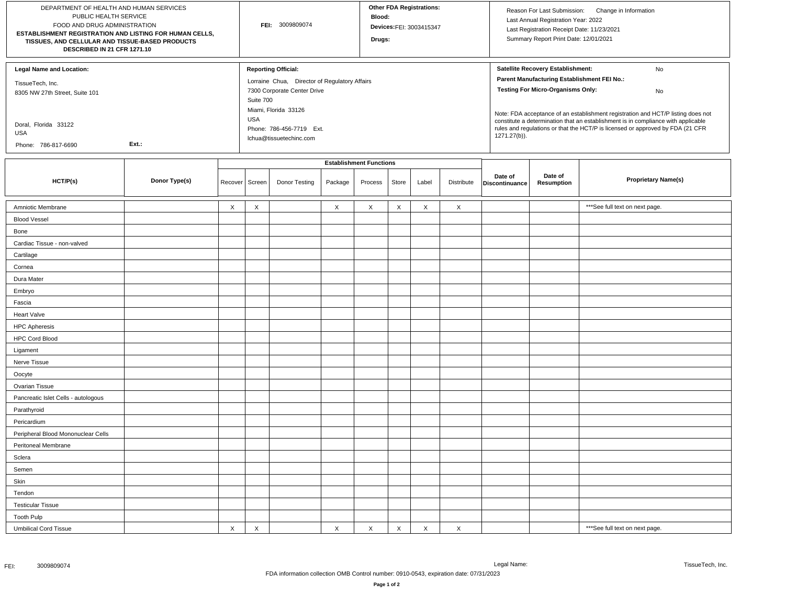| DEPARTMENT OF HEALTH AND HUMAN SERVICES<br>PUBLIC HEALTH SERVICE<br>FOOD AND DRUG ADMINISTRATION<br>ESTABLISHMENT REGISTRATION AND LISTING FOR HUMAN CELLS,<br>TISSUES, AND CELLULAR AND TISSUE-BASED PRODUCTS<br>DESCRIBED IN 21 CFR 1271.10 |               |                  |                                | FEI: 3009809074                                                                                                                                                                                                      |          |         |             | <b>Other FDA Registrations:</b><br>Devices:FEI: 3003415347 |             |                                                                                                                                                                                                                                                                                                                                                                                                                     | Reason For Last Submission:<br>Change in Information<br>Last Annual Registration Year: 2022<br>Last Registration Receipt Date: 11/23/2021<br>Summary Report Print Date: 12/01/2021 |                                 |  |
|-----------------------------------------------------------------------------------------------------------------------------------------------------------------------------------------------------------------------------------------------|---------------|------------------|--------------------------------|----------------------------------------------------------------------------------------------------------------------------------------------------------------------------------------------------------------------|----------|---------|-------------|------------------------------------------------------------|-------------|---------------------------------------------------------------------------------------------------------------------------------------------------------------------------------------------------------------------------------------------------------------------------------------------------------------------------------------------------------------------------------------------------------------------|------------------------------------------------------------------------------------------------------------------------------------------------------------------------------------|---------------------------------|--|
| Legal Name and Location:<br>TissueTech, Inc.<br>8305 NW 27th Street, Suite 101<br>Doral, Florida 33122<br>USA<br>Ext.:<br>Phone: 786-817-6690                                                                                                 |               |                  |                                | <b>Reporting Official:</b><br>Lorraine Chua, Director of Regulatory Affairs<br>7300 Corporate Center Drive<br>Suite 700<br>Miami, Florida 33126<br><b>USA</b><br>Phone: 786-456-7719 Ext.<br>lchua@tissuetechinc.com |          |         |             |                                                            |             | Satellite Recovery Establishment:<br>No<br>Parent Manufacturing Establishment FEI No.:<br><b>Testing For Micro-Organisms Only:</b><br>No<br>Note: FDA acceptance of an establishment registration and HCT/P listing does not<br>constitute a determination that an establishment is in compliance with applicable<br>rules and regulations or that the HCT/P is licensed or approved by FDA (21 CFR<br>1271.27(b)). |                                                                                                                                                                                    |                                 |  |
|                                                                                                                                                                                                                                               |               |                  | <b>Establishment Functions</b> |                                                                                                                                                                                                                      |          |         |             |                                                            |             |                                                                                                                                                                                                                                                                                                                                                                                                                     |                                                                                                                                                                                    |                                 |  |
| HCT/P(s)                                                                                                                                                                                                                                      | Donor Type(s) | Recover   Screen |                                | Donor Testing                                                                                                                                                                                                        | Package  | Process | Store       | Label                                                      | Distribute  | Date of<br>Discontinuance                                                                                                                                                                                                                                                                                                                                                                                           | Date of<br>Resumption                                                                                                                                                              | <b>Proprietary Name(s)</b>      |  |
| Amniotic Membrane                                                                                                                                                                                                                             |               | X                | X                              |                                                                                                                                                                                                                      | X        | X       | X           | X                                                          | $\times$    |                                                                                                                                                                                                                                                                                                                                                                                                                     |                                                                                                                                                                                    | *** See full text on next page. |  |
| <b>Blood Vessel</b>                                                                                                                                                                                                                           |               |                  |                                |                                                                                                                                                                                                                      |          |         |             |                                                            |             |                                                                                                                                                                                                                                                                                                                                                                                                                     |                                                                                                                                                                                    |                                 |  |
| Bone                                                                                                                                                                                                                                          |               |                  |                                |                                                                                                                                                                                                                      |          |         |             |                                                            |             |                                                                                                                                                                                                                                                                                                                                                                                                                     |                                                                                                                                                                                    |                                 |  |
| Cardiac Tissue - non-valved                                                                                                                                                                                                                   |               |                  |                                |                                                                                                                                                                                                                      |          |         |             |                                                            |             |                                                                                                                                                                                                                                                                                                                                                                                                                     |                                                                                                                                                                                    |                                 |  |
| Cartilage                                                                                                                                                                                                                                     |               |                  |                                |                                                                                                                                                                                                                      |          |         |             |                                                            |             |                                                                                                                                                                                                                                                                                                                                                                                                                     |                                                                                                                                                                                    |                                 |  |
| Cornea                                                                                                                                                                                                                                        |               |                  |                                |                                                                                                                                                                                                                      |          |         |             |                                                            |             |                                                                                                                                                                                                                                                                                                                                                                                                                     |                                                                                                                                                                                    |                                 |  |
| Dura Mater                                                                                                                                                                                                                                    |               |                  |                                |                                                                                                                                                                                                                      |          |         |             |                                                            |             |                                                                                                                                                                                                                                                                                                                                                                                                                     |                                                                                                                                                                                    |                                 |  |
| Embryo                                                                                                                                                                                                                                        |               |                  |                                |                                                                                                                                                                                                                      |          |         |             |                                                            |             |                                                                                                                                                                                                                                                                                                                                                                                                                     |                                                                                                                                                                                    |                                 |  |
| Fascia                                                                                                                                                                                                                                        |               |                  |                                |                                                                                                                                                                                                                      |          |         |             |                                                            |             |                                                                                                                                                                                                                                                                                                                                                                                                                     |                                                                                                                                                                                    |                                 |  |
| <b>Heart Valve</b>                                                                                                                                                                                                                            |               |                  |                                |                                                                                                                                                                                                                      |          |         |             |                                                            |             |                                                                                                                                                                                                                                                                                                                                                                                                                     |                                                                                                                                                                                    |                                 |  |
| <b>HPC Apheresis</b>                                                                                                                                                                                                                          |               |                  |                                |                                                                                                                                                                                                                      |          |         |             |                                                            |             |                                                                                                                                                                                                                                                                                                                                                                                                                     |                                                                                                                                                                                    |                                 |  |
| <b>HPC Cord Blood</b>                                                                                                                                                                                                                         |               |                  |                                |                                                                                                                                                                                                                      |          |         |             |                                                            |             |                                                                                                                                                                                                                                                                                                                                                                                                                     |                                                                                                                                                                                    |                                 |  |
| Ligament                                                                                                                                                                                                                                      |               |                  |                                |                                                                                                                                                                                                                      |          |         |             |                                                            |             |                                                                                                                                                                                                                                                                                                                                                                                                                     |                                                                                                                                                                                    |                                 |  |
| Nerve Tissue                                                                                                                                                                                                                                  |               |                  |                                |                                                                                                                                                                                                                      |          |         |             |                                                            |             |                                                                                                                                                                                                                                                                                                                                                                                                                     |                                                                                                                                                                                    |                                 |  |
| Oocyte                                                                                                                                                                                                                                        |               |                  |                                |                                                                                                                                                                                                                      |          |         |             |                                                            |             |                                                                                                                                                                                                                                                                                                                                                                                                                     |                                                                                                                                                                                    |                                 |  |
| Ovarian Tissue                                                                                                                                                                                                                                |               |                  |                                |                                                                                                                                                                                                                      |          |         |             |                                                            |             |                                                                                                                                                                                                                                                                                                                                                                                                                     |                                                                                                                                                                                    |                                 |  |
| Pancreatic Islet Cells - autologous                                                                                                                                                                                                           |               |                  |                                |                                                                                                                                                                                                                      |          |         |             |                                                            |             |                                                                                                                                                                                                                                                                                                                                                                                                                     |                                                                                                                                                                                    |                                 |  |
| Parathyroid                                                                                                                                                                                                                                   |               |                  |                                |                                                                                                                                                                                                                      |          |         |             |                                                            |             |                                                                                                                                                                                                                                                                                                                                                                                                                     |                                                                                                                                                                                    |                                 |  |
| Pericardium                                                                                                                                                                                                                                   |               |                  |                                |                                                                                                                                                                                                                      |          |         |             |                                                            |             |                                                                                                                                                                                                                                                                                                                                                                                                                     |                                                                                                                                                                                    |                                 |  |
| Peripheral Blood Mononuclear Cells                                                                                                                                                                                                            |               |                  |                                |                                                                                                                                                                                                                      |          |         |             |                                                            |             |                                                                                                                                                                                                                                                                                                                                                                                                                     |                                                                                                                                                                                    |                                 |  |
| Peritoneal Membrane                                                                                                                                                                                                                           |               |                  |                                |                                                                                                                                                                                                                      |          |         |             |                                                            |             |                                                                                                                                                                                                                                                                                                                                                                                                                     |                                                                                                                                                                                    |                                 |  |
| Sclera                                                                                                                                                                                                                                        |               |                  |                                |                                                                                                                                                                                                                      |          |         |             |                                                            |             |                                                                                                                                                                                                                                                                                                                                                                                                                     |                                                                                                                                                                                    |                                 |  |
| Semen                                                                                                                                                                                                                                         |               |                  |                                |                                                                                                                                                                                                                      |          |         |             |                                                            |             |                                                                                                                                                                                                                                                                                                                                                                                                                     |                                                                                                                                                                                    |                                 |  |
| Skin                                                                                                                                                                                                                                          |               |                  |                                |                                                                                                                                                                                                                      |          |         |             |                                                            |             |                                                                                                                                                                                                                                                                                                                                                                                                                     |                                                                                                                                                                                    |                                 |  |
| Tendon                                                                                                                                                                                                                                        |               |                  |                                |                                                                                                                                                                                                                      |          |         |             |                                                            |             |                                                                                                                                                                                                                                                                                                                                                                                                                     |                                                                                                                                                                                    |                                 |  |
| <b>Testicular Tissue</b>                                                                                                                                                                                                                      |               |                  |                                |                                                                                                                                                                                                                      |          |         |             |                                                            |             |                                                                                                                                                                                                                                                                                                                                                                                                                     |                                                                                                                                                                                    |                                 |  |
| <b>Tooth Pulp</b>                                                                                                                                                                                                                             |               |                  |                                |                                                                                                                                                                                                                      |          |         |             |                                                            |             |                                                                                                                                                                                                                                                                                                                                                                                                                     |                                                                                                                                                                                    |                                 |  |
| <b>Umbilical Cord Tissue</b>                                                                                                                                                                                                                  |               | $\mathsf X$      | $\times$                       |                                                                                                                                                                                                                      | $\times$ | X       | $\mathsf X$ | $\mathsf X$                                                | $\mathsf X$ |                                                                                                                                                                                                                                                                                                                                                                                                                     |                                                                                                                                                                                    | *** See full text on next page. |  |